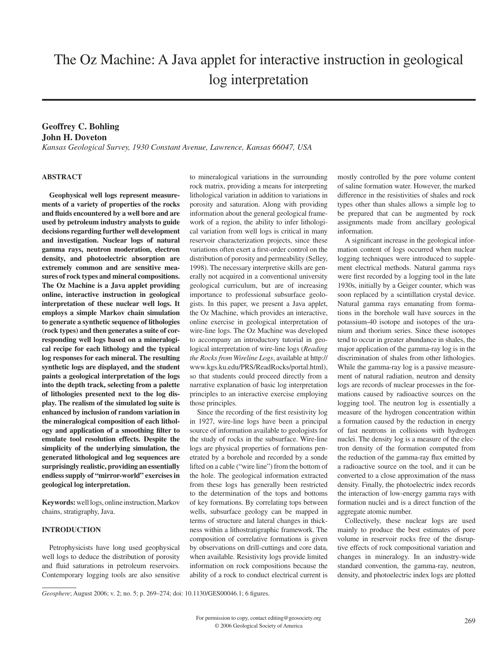# **Geoffrey C. Bohling John H. Doveton**

*Kansas Geological Survey, 1930 Constant Avenue, Lawrence, Kansas 66047, USA*

## **ABSTRACT**

**Geophysical well logs represent measurements of a variety of properties of the rocks**  and fluids encountered by a well bore and are **used by petroleum industry analysts to guide decisions regarding further well development and investigation. Nuclear logs of natural gamma rays, neutron moderation, electron density, and photoelectric absorption are extremely common and are sensitive measures of rock types and mineral compositions. The Oz Machine is a Java applet providing online, interactive instruction in geological interpretation of these nuclear well logs. It employs a simple Markov chain simulation to generate a synthetic sequence of lithologies (rock types) and then generates a suite of corresponding well logs based on a mineralogical recipe for each lithology and the typical log responses for each mineral. The resulting synthetic logs are displayed, and the student paints a geological interpretation of the logs into the depth track, selecting from a palette of lithologies presented next to the log display. The realism of the simulated log suite is enhanced by inclusion of random variation in the mineralogical composition of each lithol**ogy and application of a smoothing filter to **emulate tool resolution effects. Despite the simplicity of the underlying simulation, the generated lithological and log sequences are surprisingly realistic, providing an essentially endless supply of "mirror-world" exercises in geological log interpretation.**

**Keywords:** well logs, online instruction, Markov chains, stratigraphy, Java.

### **INTRODUCTION**

Petrophysicists have long used geophysical well logs to deduce the distribution of porosity and fluid saturations in petroleum reservoirs. Contemporary logging tools are also sensitive to mineralogical variations in the surrounding rock matrix, providing a means for interpreting lithological variation in addition to variations in porosity and saturation. Along with providing information about the general geological framework of a region, the ability to infer lithological variation from well logs is critical in many reservoir characterization projects, since these variations often exert a first-order control on the distribution of porosity and permeability (Selley, 1998). The necessary interpretive skills are generally not acquired in a conventional university geological curriculum, but are of increasing importance to professional subsurface geologists. In this paper, we present a Java applet, the Oz Machine, which provides an interactive, online exercise in geological interpretation of wire-line logs. The Oz Machine was developed to accompany an introductory tutorial in geological interpretation of wire-line logs (*Reading the Rocks from Wireline Logs*, available at http:// www.kgs.ku.edu/PRS/ReadRocks/portal.html), so that students could proceed directly from a narrative explanation of basic log interpretation principles to an interactive exercise employing those principles.

Since the recording of the first resistivity log in 1927, wire-line logs have been a principal source of information available to geologists for the study of rocks in the subsurface. Wire-line logs are physical properties of formations penetrated by a borehole and recorded by a sonde lifted on a cable ("wire line") from the bottom of the hole. The geological information extracted from these logs has generally been restricted to the determination of the tops and bottoms of key formations. By correlating tops between wells, subsurface geology can be mapped in terms of structure and lateral changes in thickness within a lithostratigraphic framework. The composition of correlative formations is given by observations on drill-cuttings and core data, when available. Resistivity logs provide limited information on rock compositions because the ability of a rock to conduct electrical current is mostly controlled by the pore volume content of saline formation water. However, the marked difference in the resistivities of shales and rock types other than shales allows a simple log to be prepared that can be augmented by rock assignments made from ancillary geological information.

A significant increase in the geological information content of logs occurred when nuclear logging techniques were introduced to supplement electrical methods. Natural gamma rays were first recorded by a logging tool in the late 1930s, initially by a Geiger counter, which was soon replaced by a scintillation crystal device. Natural gamma rays emanating from formations in the borehole wall have sources in the potassium-40 isotope and isotopes of the uranium and thorium series. Since these isotopes tend to occur in greater abundance in shales, the major application of the gamma-ray log is in the discrimination of shales from other lithologies. While the gamma-ray log is a passive measurement of natural radiation, neutron and density logs are records of nuclear processes in the formations caused by radioactive sources on the logging tool. The neutron log is essentially a measure of the hydrogen concentration within a formation caused by the reduction in energy of fast neutrons in collisions with hydrogen nuclei. The density log is a measure of the electron density of the formation computed from the reduction of the gamma-ray flux emitted by a radioactive source on the tool, and it can be converted to a close approximation of the mass density. Finally, the photoelectric index records the interaction of low-energy gamma rays with formation nuclei and is a direct function of the aggregate atomic number.

Collectively, these nuclear logs are used mainly to produce the best estimates of pore volume in reservoir rocks free of the disruptive effects of rock compositional variation and changes in mineralogy. In an industry-wide standard convention, the gamma-ray, neutron, density, and photoelectric index logs are plotted

*Geosphere*; August 2006; v. 2; no. 5; p. 269-274; doi: 10.1130/GES00046.1; 6 figures.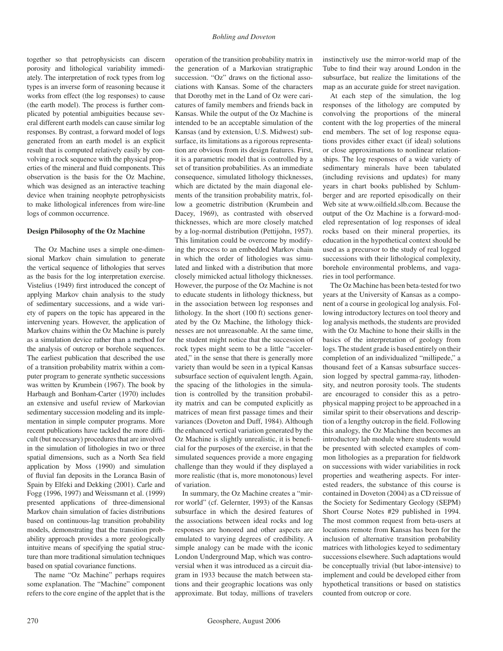together so that petrophysicists can discern porosity and lithological variability immediately. The interpretation of rock types from log types is an inverse form of reasoning because it works from effect (the log responses) to cause (the earth model). The process is further complicated by potential ambiguities because several different earth models can cause similar log responses. By contrast, a forward model of logs generated from an earth model is an explicit result that is computed relatively easily by convolving a rock sequence with the physical properties of the mineral and fluid components. This observation is the basis for the Oz Machine, which was designed as an interactive teaching device when training neophyte petrophysicists to make lithological inferences from wire-line logs of common occurrence.

#### **Design Philosophy of the Oz Machine**

The Oz Machine uses a simple one-dimensional Markov chain simulation to generate the vertical sequence of lithologies that serves as the basis for the log interpretation exercise. Vistelius (1949) first introduced the concept of applying Markov chain analysis to the study of sedimentary successions, and a wide variety of papers on the topic has appeared in the intervening years. However, the application of Markov chains within the Oz Machine is purely as a simulation device rather than a method for the analysis of outcrop or borehole sequences. The earliest publication that described the use of a transition probability matrix within a computer program to generate synthetic successions was written by Krumbein (1967). The book by Harbaugh and Bonham-Carter (1970) includes an extensive and useful review of Markovian sedimentary succession modeling and its implementation in simple computer programs. More recent publications have tackled the more difficult (but necessary) procedures that are involved in the simulation of lithologies in two or three spatial dimensions, such as a North Sea field application by Moss (1990) and simulation of fluvial fan deposits in the Loranca Basin of Spain by Elfeki and Dekking (2001). Carle and Fogg (1996, 1997) and Weissmann et al. (1999) presented applications of three-dimensional Markov chain simulation of facies distributions based on continuous-lag transition probability models, demonstrating that the transition probability approach provides a more geologically intuitive means of specifying the spatial structure than more traditional simulation techniques based on spatial covariance functions.

The name "Oz Machine" perhaps requires some explanation. The "Machine" component refers to the core engine of the applet that is the operation of the transition probability matrix in the generation of a Markovian stratigraphic succession. "Oz" draws on the fictional associations with Kansas. Some of the characters that Dorothy met in the Land of Oz were caricatures of family members and friends back in Kansas. While the output of the Oz Machine is intended to be an acceptable simulation of the Kansas (and by extension, U.S. Midwest) subsurface, its limitations as a rigorous representation are obvious from its design features. First, it is a parametric model that is controlled by a set of transition probabilities. As an immediate consequence, simulated lithology thicknesses, which are dictated by the main diagonal elements of the transition probability matrix, follow a geometric distribution (Krumbein and Dacey, 1969), as contrasted with observed thicknesses, which are more closely matched by a log-normal distribution (Pettijohn, 1957). This limitation could be overcome by modifying the process to an embedded Markov chain in which the order of lithologies was simulated and linked with a distribution that more closely mimicked actual lithology thicknesses. However, the purpose of the Oz Machine is not to educate students in lithology thickness, but in the association between log responses and lithology. In the short (100 ft) sections generated by the Oz Machine, the lithology thicknesses are not unreasonable. At the same time, the student might notice that the succession of rock types might seem to be a little "accelerated," in the sense that there is generally more variety than would be seen in a typical Kansas subsurface section of equivalent length. Again, the spacing of the lithologies in the simulation is controlled by the transition probability matrix and can be computed explicitly as matrices of mean first passage times and their variances (Doveton and Duff, 1984). Although the enhanced vertical variation generated by the Oz Machine is slightly unrealistic, it is beneficial for the purposes of the exercise, in that the simulated sequences provide a more engaging challenge than they would if they displayed a more realistic (that is, more monotonous) level of variation.

In summary, the Oz Machine creates a "mirror world" (cf. Gelernter, 1993) of the Kansas subsurface in which the desired features of the associations between ideal rocks and log responses are honored and other aspects are emulated to varying degrees of credibility. A simple analogy can be made with the iconic London Underground Map, which was controversial when it was introduced as a circuit diagram in 1933 because the match between stations and their geographic locations was only approximate. But today, millions of travelers

instinctively use the mirror-world map of the Tube to find their way around London in the subsurface, but realize the limitations of the map as an accurate guide for street navigation.

At each step of the simulation, the log responses of the lithology are computed by convolving the proportions of the mineral content with the log properties of the mineral end members. The set of log response equations provides either exact (if ideal) solutions or close approximations to nonlinear relationships. The log responses of a wide variety of sedimentary minerals have been tabulated (including revisions and updates) for many years in chart books published by Schlumberger and are reported episodically on their Web site at www.oilfield.slb.com. Because the output of the Oz Machine is a forward-modeled representation of log responses of ideal rocks based on their mineral properties, its education in the hypothetical context should be used as a precursor to the study of real logged successions with their lithological complexity, borehole environmental problems, and vagaries in tool performance.

The Oz Machine has been beta-tested for two years at the University of Kansas as a component of a course in geological log analysis. Following introductory lectures on tool theory and log analysis methods, the students are provided with the Oz Machine to hone their skills in the basics of the interpretation of geology from logs. The student grade is based entirely on their completion of an individualized "millipede," a thousand feet of a Kansas subsurface succession logged by spectral gamma-ray, lithodensity, and neutron porosity tools. The students are encouraged to consider this as a petrophysical mapping project to be approached in a similar spirit to their observations and description of a lengthy outcrop in the field. Following this analogy, the Oz Machine then becomes an introductory lab module where students would be presented with selected examples of common lithologies as a preparation for fieldwork on successions with wider variabilities in rock properties and weathering aspects. For interested readers, the substance of this course is contained in Doveton (2004) as a CD reissue of the Society for Sedimentary Geology (SEPM) Short Course Notes #29 published in 1994. The most common request from beta-users at locations remote from Kansas has been for the inclusion of alternative transition probability matrices with lithologies keyed to sedimentary successions elsewhere. Such adaptations would be conceptually trivial (but labor-intensive) to implement and could be developed either from hypothetical transitions or based on statistics counted from outcrop or core.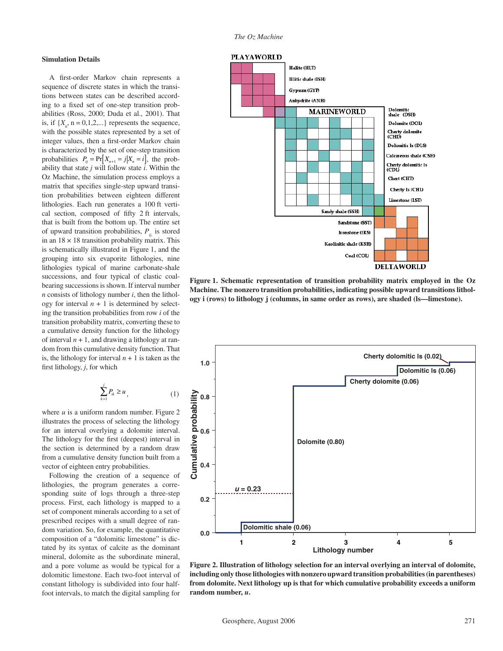#### **Simulation Details**

A first-order Markov chain represents a sequence of discrete states in which the transitions between states can be described according to a fixed set of one-step transition probabilities (Ross, 2000; Duda et al., 2001). That is, if  $\{X_n, n = 0, 1, 2, \dots\}$  represents the sequence, with the possible states represented by a set of integer values, then a first-order Markov chain is characterized by the set of one-step transition probabilities  $P_{ii} = Pr[X_{n+1} = j | X_n = i]$ , the probability that state *j* will follow state *i*. Within the Oz Machine, the simulation process employs a matrix that specifies single-step upward transition probabilities between eighteen different lithologies. Each run generates a 100 ft vertical section, composed of fifty 2 ft intervals, that is built from the bottom up. The entire set of upward transition probabilities,  $P_{ij}$  is stored in an  $18 \times 18$  transition probability matrix. This is schematically illustrated in Figure 1, and the grouping into six evaporite lithologies, nine lithologies typical of marine carbonate-shale successions, and four typical of clastic coalbearing successions is shown. If interval number *n* consists of lithology number *i*, then the lithology for interval  $n + 1$  is determined by selecting the transition probabilities from row *i* of the transition probability matrix, converting these to a cumulative density function for the lithology of interval  $n + 1$ , and drawing a lithology at random from this cumulative density function. That is, the lithology for interval  $n + 1$  is taken as the first lithology,  $j$ , for which

$$
\sum_{k=1}^{j} P_{ik} \ge u \tag{1}
$$

where  $u$  is a uniform random number. Figure 2 illustrates the process of selecting the lithology for an interval overlying a dolomite interval. The lithology for the first (deepest) interval in the section is determined by a random draw from a cumulative density function built from a vector of eighteen entry probabilities.

Following the creation of a sequence of lithologies, the program generates a corresponding suite of logs through a three-step process. First, each lithology is mapped to a set of component minerals according to a set of prescribed recipes with a small degree of random variation. So, for example, the quantitative composition of a "dolomitic limestone" is dictated by its syntax of calcite as the dominant mineral, dolomite as the subordinate mineral, and a pore volume as would be typical for a dolomitic limestone. Each two-foot interval of constant lithology is subdivided into four halffoot intervals, to match the digital sampling for



**Figure 1. Schematic representation of transition probability matrix employed in the Oz Machine. The nonzero transition probabilities, indicating possible upward transitions lithology i (rows) to lithology j (columns, in same order as rows), are shaded (ls—limestone).**



**Figure 2. Illustration of lithology selection for an interval overlying an interval of dolomite, including only those lithologies with nonzero upward transition probabilities (in parentheses) from dolomite. Next lithology up is that for which cumulative probability exceeds a uniform random number,** *u***.**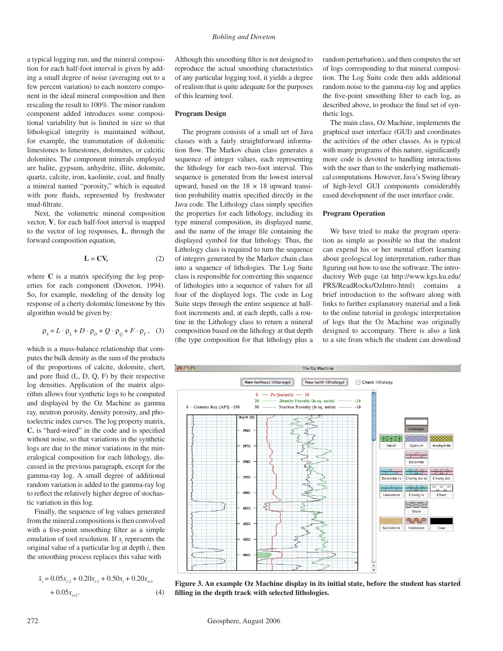a typical logging run, and the mineral composition for each half-foot interval is given by adding a small degree of noise (averaging out to a few percent variation) to each nonzero component in the ideal mineral composition and then rescaling the result to 100%. The minor random component added introduces some compositional variability but is limited in size so that lithological integrity is maintained without, for example, the transmutation of dolomitic limestones to limestones, dolomites, or calcitic dolomites. The component minerals employed are halite, gypsum, anhydrite, illite, dolomite, quartz, calcite, iron, kaolinite, coal, and finally a mineral named "porosity," which is equated with pore fluids, represented by freshwater mud-filtrate.

Next, the volumetric mineral composition vector, **V**, for each half-foot interval is mapped to the vector of log responses, **L**, through the forward composition equation,

$$
\mathbf{L} = \mathbf{C}\mathbf{V},\tag{2}
$$

where **C** is a matrix specifying the log properties for each component (Doveton, 1994). So, for example, modeling of the density log response of a cherty dolomitic limestone by this algorithm would be given by:

$$
\rho_b = L \cdot \rho_L + D \cdot \rho_D + Q \cdot \rho_Q + F \cdot \rho_F, \quad (3)
$$

which is a mass-balance relationship that computes the bulk density as the sum of the products of the proportions of calcite, dolomite, chert, and pore fluid  $(L, D, Q, F)$  by their respective log densities. Application of the matrix algorithm allows four synthetic logs to be computed and displayed by the Oz Machine as gamma ray, neutron porosity, density porosity, and photoelectric index curves. The log property matrix, **C**, is "hard-wired" in the code and is specified without noise, so that variations in the synthetic logs are due to the minor variations in the mineralogical composition for each lithology, discussed in the previous paragraph, except for the gamma-ray log. A small degree of additional random variation is added to the gamma-ray log to reflect the relatively higher degree of stochastic variation in this log.

Finally, the sequence of log values generated from the mineral compositions is then convolved with a five-point smoothing filter as a simple emulation of tool resolution. If  $x_i$  represents the original value of a particular log at depth *i*, then the smoothing process replaces this value with

$$
\tilde{x}_i = 0.05x_{i\cdot 2} + 0.20x_{i\cdot 1} + 0.50x_i + 0.20x_{i\cdot 1} + 0.05x_{i\cdot 2}.
$$
\n
$$
(4)
$$

Although this smoothing filter is not designed to reproduce the actual smoothing characteristics of any particular logging tool, it yields a degree of realism that is quite adequate for the purposes of this learning tool.

#### **Program Design**

The program consists of a small set of Java classes with a fairly straightforward information flow. The Markov chain class generates a sequence of integer values, each representing the lithology for each two-foot interval. This sequence is generated from the lowest interval upward, based on the  $18 \times 18$  upward transition probability matrix specified directly in the Java code. The Lithology class simply specifies the properties for each lithology, including its type mineral composition, its displayed name, and the name of the image file containing the displayed symbol for that lithology. Thus, the Lithology class is required to turn the sequence of integers generated by the Markov chain class into a sequence of lithologies. The Log Suite class is responsible for converting this sequence of lithologies into a sequence of values for all four of the displayed logs. The code in Log Suite steps through the entire sequence at halffoot increments and, at each depth, calls a routine in the Lithology class to return a mineral composition based on the lithology at that depth (the type composition for that lithology plus a

random perturbation), and then computes the set of logs corresponding to that mineral composition. The Log Suite code then adds additional random noise to the gamma-ray log and applies the five-point smoothing filter to each log, as described above, to produce the final set of synthetic logs.

The main class, Oz Machine, implements the graphical user interface (GUI) and coordinates the activities of the other classes. As is typical with many programs of this nature, significantly more code is devoted to handling interactions with the user than to the underlying mathematical computations. However, Java's Swing library of high-level GUI components considerably eased development of the user interface code.

#### **Program Operation**

We have tried to make the program operation as simple as possible so that the student can expend his or her mental effort learning about geological log interpretation, rather than figuring out how to use the software. The introductory Web page (at http://www.kgs.ku.edu/ PRS/ReadRocks/OzIntro.html) contains a brief introduction to the software along with links to further explanatory material and a link to the online tutorial in geologic interpretation of logs that the Oz Machine was originally designed to accompany. There is also a link to a site from which the student can download



**Figure 3. An example Oz Machine display in its initial state, before the student has started**  filling in the depth track with selected lithologies.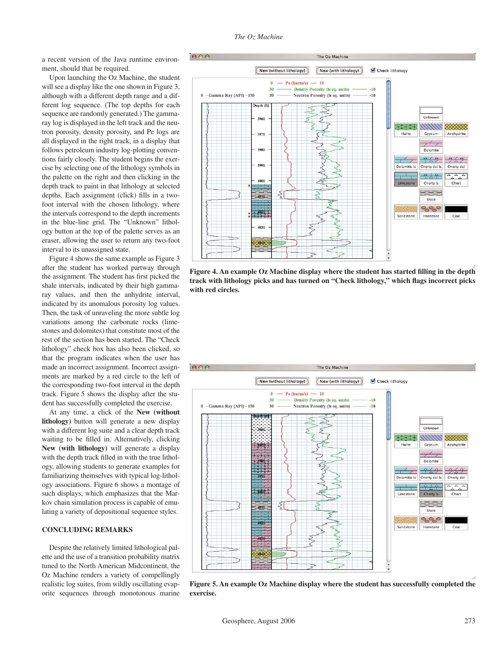a recent version of the Java runtime environment, should that be required.

Upon launching the Oz Machine, the student will see a display like the one shown in Figure 3, although with a different depth range and a different log sequence. (The top depths for each sequence are randomly generated.) The gammaray log is displayed in the left track and the neutron porosity, density porosity, and Pe logs are all displayed in the right track, in a display that follows petroleum industry log-plotting conventions fairly closely. The student begins the exercise by selecting one of the lithology symbols in the palette on the right and then clicking in the depth track to paint in that lithology at selected depths. Each assignment (click) fills in a twofoot interval with the chosen lithology, where the intervals correspond to the depth increments in the blue-line grid. The "Unknown" lithology button at the top of the palette serves as an eraser, allowing the user to return any two-foot interval to its unassigned state.

Figure 4 shows the same example as Figure 3 after the student has worked partway through the assignment. The student has first picked the shale intervals, indicated by their high gammaray values, and then the anhydrite interval, indicated by its anomalous porosity log values. Then, the task of unraveling the more subtle log variations among the carbonate rocks (limestones and dolomites) that constitute most of the rest of the section has been started. The "Check lithology" check box has also been clicked, so that the program indicates when the user has made an incorrect assignment. Incorrect assignments are marked by a red circle to the left of the corresponding two-foot interval in the depth track. Figure 5 shows the display after the student has successfully completed the exercise.

At any time, a click of the **New (without lithology)** button will generate a new display with a different log suite and a clear depth track waiting to be filled in. Alternatively, clicking **New (with lithology)** will generate a display with the depth track filled in with the true lithology, allowing students to generate examples for familiarizing themselves with typical log-lithology associations. Figure 6 shows a montage of such displays, which emphasizes that the Markov chain simulation process is capable of emulating a variety of depositional sequence styles.

### **CONCLUDING REMARKS**

Despite the relatively limited lithological palette and the use of a transition probability matrix tuned to the North American Midcontinent, the Oz Machine renders a variety of compellingly realistic log suites, from wildly oscillating evaporite sequences through monotonous marine







**Figure 5. An example Oz Machine display where the student has successfully completed the exercise.**